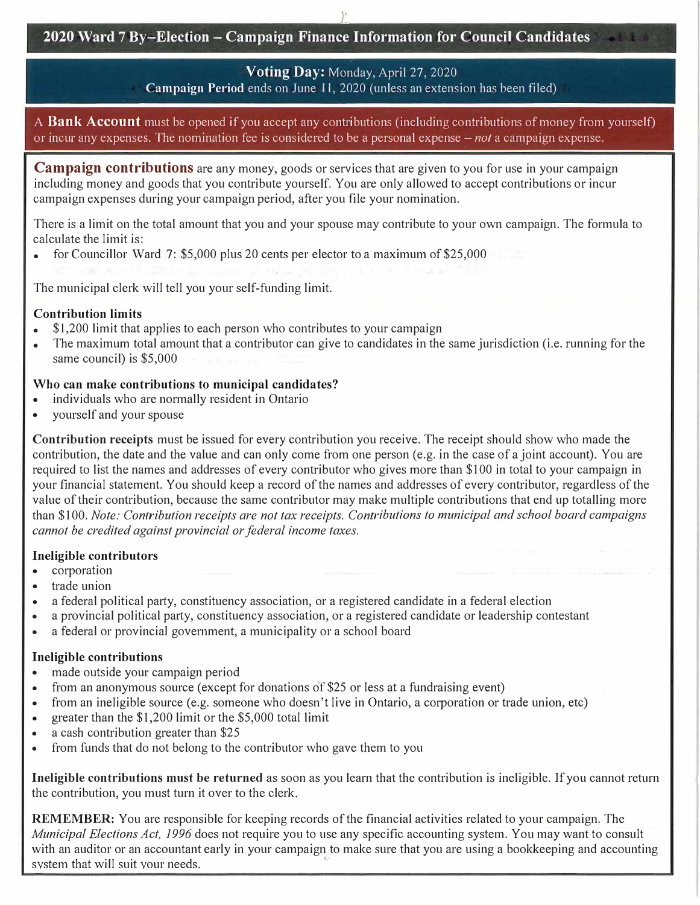*r* 

# **2020 Ward 7 By-Election - Campaign Finance Information for Council Candidates**

### **Voting Day:** Monday, April 27, 2020

**Campaign Period** ends on June 11, 2020 (unless an extension has been filed)

A **Bank Account** must be opened if you accept any contributions (including contributions of money from yourself) or incur any expenses. The nomination fee is considered to be a personal expense - *not* a campaign expense.

**Campaign contributions** are any money, goods or services that are given to you for use in your campaign including money and goods that you contribute yourself. You are only allowed to accept contributions or incur campaign expenses during your campaign period, after you file your nomination.

There is a limit on the total amount that you and your spouse may contribute to your own campaign. The formula to calculate the limit is:

• for Councillor Ward 7:  $$5,000$  plus 20 cents per elector to a maximum of  $$25,000$ 

The municipal clerk will tell you your self-funding limit.

#### **Contribution limits**

- \$1,200 limit that applies to each person who contributes to your campaign
- The maximum total amount that a contributor can give to candidates in the same jurisdiction (i.e. running for the same council) is \$5,000

#### **Who can make contributions to municipal candidates?**

- individuals who are normally resident in Ontario
- yourself and your spouse

**Contribution receipts** must be issued for every contribution you receive. The receipt should show who made the contribution, the date and the value and can only come from one person ( e.g. in the case of a joint account). You are required to list the names and addresses of every contributor who gives more than \$100 in total to your campaign in your financial statement. You should keep a record of the names and addresses of every contributor, regardless of the value of their contribution, because the same contributor may make multiple contributions that end up totalling more than \$100. *Note: Contribution receipts are not tax receipts. Cont<sup>r</sup> ibutions to municipal and school board campaigns cannot be credited against provincial or federal income taxes.* 

#### **Ineligible contributors**

- corporation
- trade union
- a federal political party, constituency association, or a registered candidate in a federal election
- a provincial political party, constituency association, or a registered candidate or leadership contestant
- a federal or provincial government, a municipality or a school board

#### **Ineligible contributions**

- made outside your campaign period
- from an anonymous source (except for donations of \$25 or less at a fundraising event)
- from an ineligible source (e.g. someone who doesn't live in Ontario, a corporation or trade union, etc)
- greater than the \$1,200 limit or the \$5,000 total limit
- a cash contribution greater than \$25
- from funds that do not belong to the contributor who gave them to you

**Ineligible contributions must be returned** as soon as you learn that the contribution is ineligible. If you cannot return the contribution, you must turn it over to the clerk.

**REMEMBER:** You are responsible for keeping records of the financial activities related to your campaign. The *Municipal Elections Act, 1996* does not require you to use any specific accounting system. You may want to consult with an auditor or an accountant early in your campaign to make sure that you are using a bookkeeping and accounting system that will suit your needs.